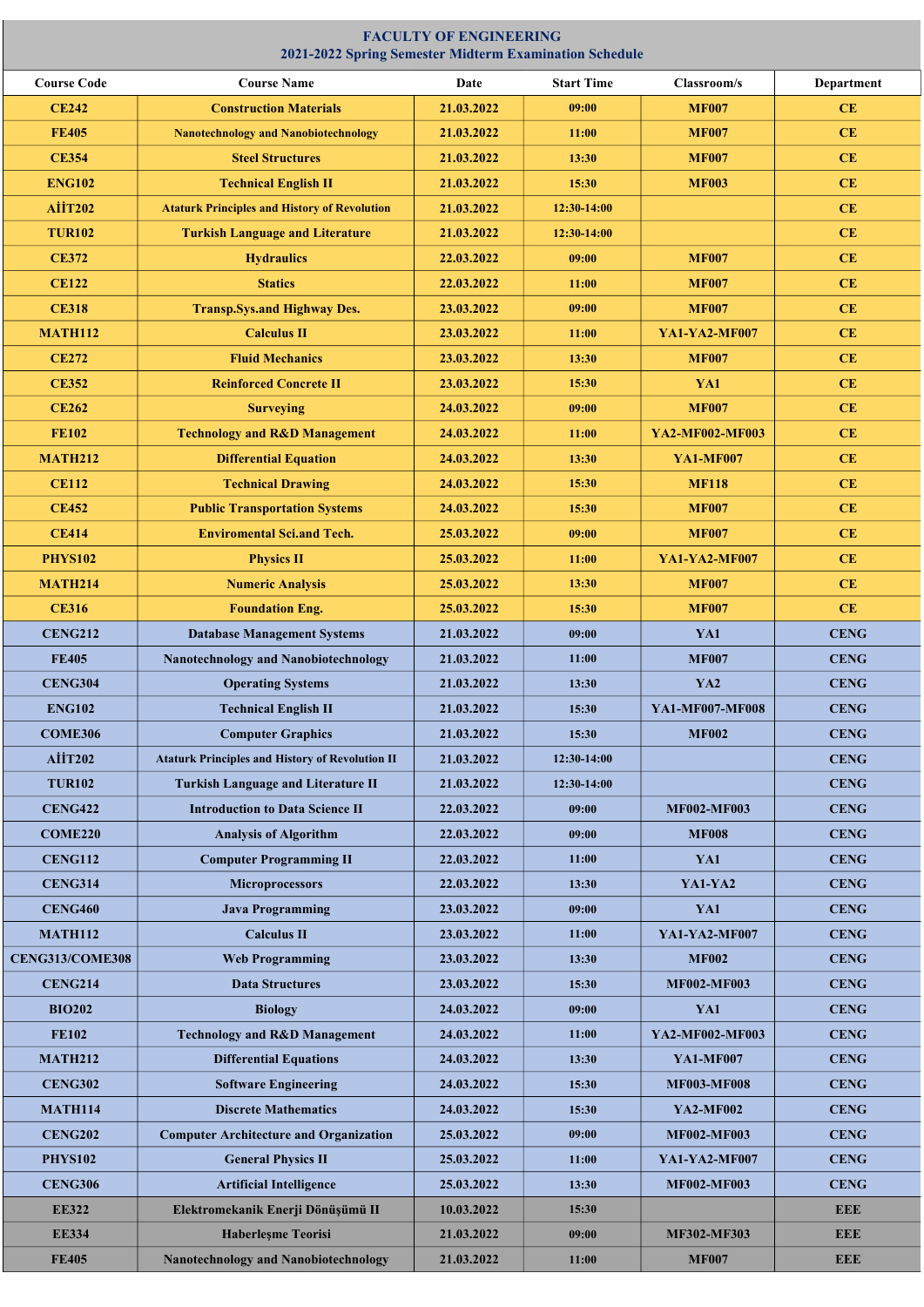| 2021-2022 Spring Semester Midterm Examination Schedule |                                                        |            |                   |                      |                   |  |  |  |  |
|--------------------------------------------------------|--------------------------------------------------------|------------|-------------------|----------------------|-------------------|--|--|--|--|
| <b>Course Code</b>                                     | <b>Course Name</b>                                     | Date       | <b>Start Time</b> | Classroom/s          | <b>Department</b> |  |  |  |  |
| <b>CE242</b>                                           | <b>Construction Materials</b>                          | 21.03.2022 | 09:00             | <b>MF007</b>         | CE                |  |  |  |  |
| <b>FE405</b>                                           | <b>Nanotechnology and Nanobiotechnology</b>            | 21.03.2022 | 11:00             | <b>MF007</b>         | CE                |  |  |  |  |
| <b>CE354</b>                                           | <b>Steel Structures</b>                                | 21.03.2022 | 13:30             | <b>MF007</b>         | CE                |  |  |  |  |
| <b>ENG102</b>                                          | <b>Technical English II</b>                            | 21.03.2022 | 15:30             | <b>MF003</b>         | <b>CE</b>         |  |  |  |  |
| <b>AİİT202</b>                                         | <b>Ataturk Principles and History of Revolution</b>    | 21.03.2022 | 12:30-14:00       |                      | CE                |  |  |  |  |
| <b>TUR102</b>                                          | <b>Turkish Language and Literature</b>                 | 21.03.2022 | 12:30-14:00       |                      | CE                |  |  |  |  |
| <b>CE372</b>                                           | <b>Hydraulics</b>                                      | 22.03.2022 | 09:00             | <b>MF007</b>         | CE                |  |  |  |  |
| <b>CE122</b>                                           | <b>Statics</b>                                         | 22.03.2022 | 11:00             | <b>MF007</b>         | CE                |  |  |  |  |
| <b>CE318</b>                                           | <b>Transp.Sys.and Highway Des.</b>                     | 23.03.2022 | 09:00             | <b>MF007</b>         | <b>CE</b>         |  |  |  |  |
| <b>MATH112</b>                                         | <b>Calculus II</b>                                     | 23.03.2022 | 11:00             | <b>YA1-YA2-MF007</b> | <b>CE</b>         |  |  |  |  |
| <b>CE272</b>                                           | <b>Fluid Mechanics</b>                                 | 23.03.2022 | 13:30             | <b>MF007</b>         | CE                |  |  |  |  |
| <b>CE352</b>                                           | <b>Reinforced Concrete II</b>                          | 23.03.2022 | 15:30             | YA1                  | <b>CE</b>         |  |  |  |  |
| <b>CE262</b>                                           | <b>Surveying</b>                                       | 24.03.2022 | 09:00             | <b>MF007</b>         | CE                |  |  |  |  |
| <b>FE102</b>                                           | <b>Technology and R&amp;D Management</b>               | 24.03.2022 | 11:00             | YA2-MF002-MF003      | CE                |  |  |  |  |
| <b>MATH212</b>                                         | <b>Differential Equation</b>                           | 24.03.2022 | 13:30             | <b>YA1-MF007</b>     | CE                |  |  |  |  |
| <b>CE112</b>                                           | <b>Technical Drawing</b>                               | 24.03.2022 | 15:30             | <b>MF118</b>         | <b>CE</b>         |  |  |  |  |
| <b>CE452</b>                                           | <b>Public Transportation Systems</b>                   | 24.03.2022 | 15:30             | <b>MF007</b>         | CE                |  |  |  |  |
| <b>CE414</b>                                           | <b>Enviromental Sci.and Tech.</b>                      | 25.03.2022 | 09:00             | <b>MF007</b>         | CE                |  |  |  |  |
| <b>PHYS102</b>                                         | <b>Physics II</b>                                      | 25.03.2022 | 11:00             | <b>YA1-YA2-MF007</b> | <b>CE</b>         |  |  |  |  |
| <b>MATH214</b>                                         | <b>Numeric Analysis</b>                                | 25.03.2022 | 13:30             | <b>MF007</b>         | CE                |  |  |  |  |
| <b>CE316</b>                                           | <b>Foundation Eng.</b>                                 | 25.03.2022 | 15:30             | <b>MF007</b>         | CE                |  |  |  |  |
| <b>CENG212</b>                                         | <b>Database Management Systems</b>                     | 21.03.2022 | 09:00             | YA1                  | <b>CENG</b>       |  |  |  |  |
| <b>FE405</b>                                           | <b>Nanotechnology and Nanobiotechnology</b>            | 21.03.2022 | 11:00             | <b>MF007</b>         | <b>CENG</b>       |  |  |  |  |
| <b>CENG304</b>                                         | <b>Operating Systems</b>                               | 21.03.2022 | 13:30             | YA <sub>2</sub>      | <b>CENG</b>       |  |  |  |  |
| <b>ENG102</b>                                          | <b>Technical English II</b>                            | 21.03.2022 | 15:30             | YA1-MF007-MF008      | <b>CENG</b>       |  |  |  |  |
| <b>COME306</b>                                         | <b>Computer Graphics</b>                               | 21.03.2022 | 15:30             | <b>MF002</b>         | <b>CENG</b>       |  |  |  |  |
| <b>AİİT202</b>                                         | <b>Ataturk Principles and History of Revolution II</b> | 21.03.2022 | 12:30-14:00       |                      | <b>CENG</b>       |  |  |  |  |
| <b>TUR102</b>                                          | <b>Turkish Language and Literature II</b>              | 21.03.2022 | 12:30-14:00       |                      | <b>CENG</b>       |  |  |  |  |
| <b>CENG422</b>                                         | <b>Introduction to Data Science II</b>                 | 22.03.2022 | 09:00             | <b>MF002-MF003</b>   | <b>CENG</b>       |  |  |  |  |
| <b>COME220</b>                                         | <b>Analysis of Algorithm</b>                           | 22.03.2022 | 09:00             | <b>MF008</b>         | <b>CENG</b>       |  |  |  |  |
| <b>CENG112</b>                                         | <b>Computer Programming II</b>                         | 22.03.2022 | 11:00             | YA1                  | <b>CENG</b>       |  |  |  |  |
| <b>CENG314</b>                                         | <b>Microprocessors</b>                                 | 22.03.2022 | 13:30             | YA1-YA2              | <b>CENG</b>       |  |  |  |  |
| <b>CENG460</b>                                         | <b>Java Programming</b>                                | 23.03.2022 | 09:00             | YA1                  | <b>CENG</b>       |  |  |  |  |
| <b>MATH112</b>                                         | <b>Calculus II</b>                                     | 23.03.2022 | 11:00             | <b>YA1-YA2-MF007</b> | <b>CENG</b>       |  |  |  |  |
| <b>CENG313/COME308</b>                                 | <b>Web Programming</b>                                 | 23.03.2022 | 13:30             | <b>MF002</b>         | <b>CENG</b>       |  |  |  |  |
| <b>CENG214</b>                                         | <b>Data Structures</b>                                 | 23.03.2022 | 15:30             | <b>MF002-MF003</b>   | <b>CENG</b>       |  |  |  |  |
| <b>BIO202</b>                                          | <b>Biology</b>                                         | 24.03.2022 | 09:00             | YA1                  | <b>CENG</b>       |  |  |  |  |
| <b>FE102</b>                                           | <b>Technology and R&amp;D Management</b>               | 24.03.2022 | 11:00             | YA2-MF002-MF003      | <b>CENG</b>       |  |  |  |  |
| <b>MATH212</b>                                         | <b>Differential Equations</b>                          | 24.03.2022 | 13:30             | <b>YA1-MF007</b>     | <b>CENG</b>       |  |  |  |  |
| <b>CENG302</b>                                         | <b>Software Engineering</b>                            | 24.03.2022 | 15:30             | <b>MF003-MF008</b>   | <b>CENG</b>       |  |  |  |  |
| <b>MATH114</b>                                         | <b>Discrete Mathematics</b>                            | 24.03.2022 | 15:30             | <b>YA2-MF002</b>     | <b>CENG</b>       |  |  |  |  |
| <b>CENG202</b>                                         | <b>Computer Architecture and Organization</b>          | 25.03.2022 | 09:00             | <b>MF002-MF003</b>   | <b>CENG</b>       |  |  |  |  |
| <b>PHYS102</b>                                         | <b>General Physics II</b>                              | 25.03.2022 | 11:00             | YA1-YA2-MF007        | <b>CENG</b>       |  |  |  |  |
| <b>CENG306</b>                                         | <b>Artificial Intelligence</b>                         | 25.03.2022 | 13:30             | <b>MF002-MF003</b>   | <b>CENG</b>       |  |  |  |  |
| <b>EE322</b>                                           | Elektromekanik Enerji Dönüşümü II                      | 10.03.2022 | 15:30             |                      | <b>EEE</b>        |  |  |  |  |
| <b>EE334</b>                                           | <b>Haberlesme Teorisi</b>                              | 21.03.2022 | 09:00             | <b>MF302-MF303</b>   | <b>EEE</b>        |  |  |  |  |
| <b>FE405</b>                                           | <b>Nanotechnology and Nanobiotechnology</b>            | 21.03.2022 | 11:00             | <b>MF007</b>         | <b>EEE</b>        |  |  |  |  |

## FACULTY OF ENGINEERING